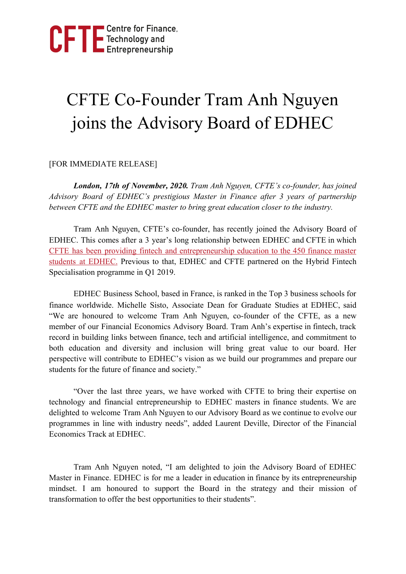

## CFTE Co-Founder Tram Anh Nguyen joins the Advisory Board of EDHEC

## [FOR IMMEDIATE RELEASE]

*London, 17th of November, 2020. Tram Anh Nguyen, CFTE's co-founder, has joined Advisory Board of EDHEC's prestigious Master in Finance after 3 years of partnership between CFTE and the EDHEC master to bring great education closer to the industry.*

Tram Anh Nguyen, CFTE's co-founder, has recently joined the Advisory Board of EDHEC. This comes after a 3 year's long relationship between EDHEC and CFTE in which CFTE has been providing fintech and [entrepreneurship](https://blog.cfte.education/cfte-partners-with-edhec/) education to the 450 finance master students at [EDHEC.](https://blog.cfte.education/cfte-partners-with-edhec/) Previous to that, EDHEC and CFTE partnered on the Hybrid [Fintech](https://www.edhec.edu/en/news/edhec-business-school-and-cfte-launch-fintech-hybrid-certificate-2019) [Specialisation](https://www.edhec.edu/en/news/edhec-business-school-and-cfte-launch-fintech-hybrid-certificate-2019) programme in Q1 2019.

EDHEC Business School, based in France, is ranked in the Top 3 business schools for finance worldwide. Michelle Sisto, Associate Dean for Graduate Studies at EDHEC, said "We are honoured to welcome Tram Anh Nguyen, co-founder of the CFTE, as a new member of our Financial Economics Advisory Board. Tram Anh's expertise in fintech, track record in building links between finance, tech and artificial intelligence, and commitment to both education and diversity and inclusion will bring great value to our board. Her perspective will contribute to EDHEC's vision as we build our programmes and prepare our students for the future of finance and society."

"Over the last three years, we have worked with CFTE to bring their expertise on technology and financial entrepreneurship to EDHEC masters in finance students. We are delighted to welcome Tram Anh Nguyen to our Advisory Board as we continue to evolve our programmes in line with industry needs", added Laurent Deville, Director of the Financial Economics Track at EDHEC.

Tram Anh Nguyen noted, "I am delighted to join the Advisory Board of EDHEC Master in Finance. EDHEC is for me a leader in education in finance by its entrepreneurship mindset. I am honoured to support the Board in the strategy and their mission of transformation to offer the best opportunities to their students".